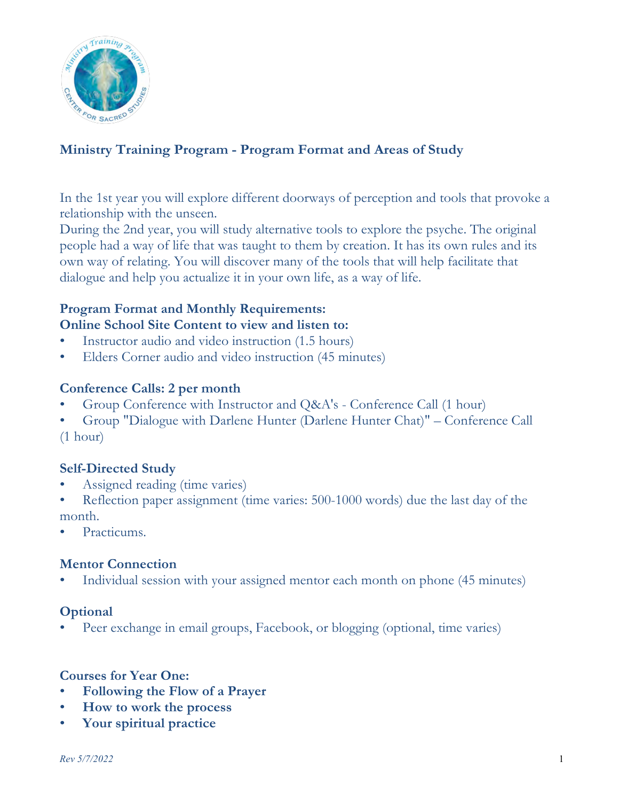

# **Ministry Training Program - Program Format and Areas of Study**

In the 1st year you will explore different doorways of perception and tools that provoke a relationship with the unseen.

During the 2nd year, you will study alternative tools to explore the psyche. The original people had a way of life that was taught to them by creation. It has its own rules and its own way of relating. You will discover many of the tools that will help facilitate that dialogue and help you actualize it in your own life, as a way of life.

# **Program Format and Monthly Requirements: Online School Site Content to view and listen to:**

- Instructor audio and video instruction (1.5 hours)
- Elders Corner audio and video instruction (45 minutes)

### **Conference Calls: 2 per month**

- Group Conference with Instructor and Q&A's Conference Call (1 hour)
- Group "Dialogue with Darlene Hunter (Darlene Hunter Chat)" Conference Call

(1 hour)

### **Self-Directed Study**

- Assigned reading (time varies)
- Reflection paper assignment (time varies: 500-1000 words) due the last day of the month.
- Practicums.

### **Mentor Connection**

Individual session with your assigned mentor each month on phone (45 minutes)

### **Optional**

Peer exchange in email groups, Facebook, or blogging (optional, time varies)

#### **Courses for Year One:**

- **Following the Flow of a Prayer**
- **How to work the process**
- **Your spiritual practice**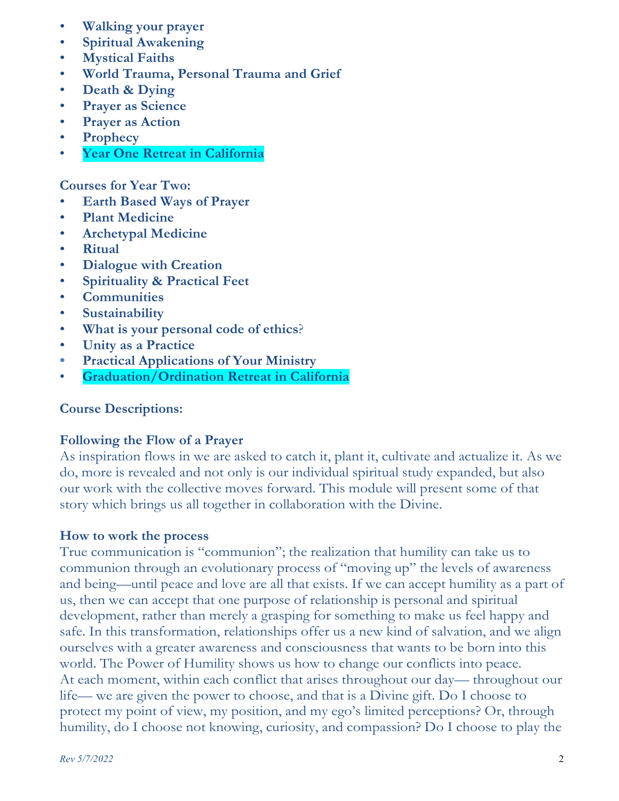- **Walking your prayer**
- **Spiritual Awakening**
- **Mystical Faiths**
- **World Trauma, Personal Trauma and Grief**
- **Death & Dying**
- **Prayer as Science**
- **Prayer as Action**
- **Prophecy**
- **Year One Retreat in California**

**Courses for Year Two:**

- **Earth Based Ways of Prayer**
- **Plant Medicine**
- **Archetypal Medicine**
- **Ritual**
- **Dialogue with Creation**
- **Spirituality & Practical Feet**
- **Communities**
- **Sustainability**
- **What is your personal code of ethics**?
- **Unity as a Practice**
- **Practical Applications of Your Ministry**
- **Graduation/Ordination Retreat in California**

### **Course Descriptions:**

### **Following the Flow of a Prayer**

As inspiration flows in we are asked to catch it, plant it, cultivate and actualize it. As we do, more is revealed and not only is our individual spiritual study expanded, but also our work with the collective moves forward. This module will present some of that story which brings us all together in collaboration with the Divine.

### **How to work the process**

True communication is "communion"; the realization that humility can take us to communion through an evolutionary process of "moving up" the levels of awareness and being—until peace and love are all that exists. If we can accept humility as a part of us, then we can accept that one purpose of relationship is personal and spiritual development, rather than merely a grasping for something to make us feel happy and safe. In this transformation, relationships offer us a new kind of salvation, and we align ourselves with a greater awareness and consciousness that wants to be born into this world. The Power of Humility shows us how to change our conflicts into peace. At each moment, within each conflict that arises throughout our day— throughout our life— we are given the power to choose, and that is a Divine gift. Do I choose to protect my point of view, my position, and my ego's limited perceptions? Or, through humility, do I choose not knowing, curiosity, and compassion? Do I choose to play the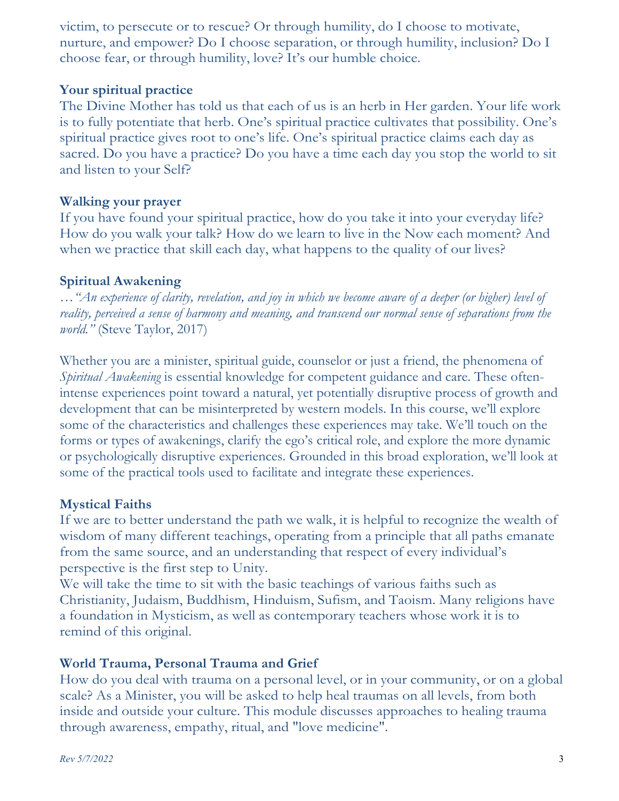victim, to persecute or to rescue? Or through humility, do I choose to motivate, nurture, and empower? Do I choose separation, or through humility, inclusion? Do I choose fear, or through humility, love? It's our humble choice.

## **Your spiritual practice**

The Divine Mother has told us that each of us is an herb in Her garden. Your life work is to fully potentiate that herb. One's spiritual practice cultivates that possibility. One's spiritual practice gives root to one's life. One's spiritual practice claims each day as sacred. Do you have a practice? Do you have a time each day you stop the world to sit and listen to your Self?

## **Walking your prayer**

If you have found your spiritual practice, how do you take it into your everyday life? How do you walk your talk? How do we learn to live in the Now each moment? And when we practice that skill each day, what happens to the quality of our lives?

## **Spiritual Awakening**

…*"An experience of clarity, revelation, and joy in which we become aware of a deeper (or higher) level of reality, perceived a sense of harmony and meaning, and transcend our normal sense of separations from the world."* (Steve Taylor, 2017)

Whether you are a minister, spiritual guide, counselor or just a friend, the phenomena of *Spiritual Awakening* is essential knowledge for competent guidance and care. These oftenintense experiences point toward a natural, yet potentially disruptive process of growth and development that can be misinterpreted by western models. In this course, we'll explore some of the characteristics and challenges these experiences may take. We'll touch on the forms or types of awakenings, clarify the ego's critical role, and explore the more dynamic or psychologically disruptive experiences. Grounded in this broad exploration, we'll look at some of the practical tools used to facilitate and integrate these experiences.

# **Mystical Faiths**

If we are to better understand the path we walk, it is helpful to recognize the wealth of wisdom of many different teachings, operating from a principle that all paths emanate from the same source, and an understanding that respect of every individual's perspective is the first step to Unity.

We will take the time to sit with the basic teachings of various faiths such as Christianity, Judaism, Buddhism, Hinduism, Sufism, and Taoism. Many religions have a foundation in Mysticism, as well as contemporary teachers whose work it is to remind of this original.

# **World Trauma, Personal Trauma and Grief**

How do you deal with trauma on a personal level, or in your community, or on a global scale? As a Minister, you will be asked to help heal traumas on all levels, from both inside and outside your culture. This module discusses approaches to healing trauma through awareness, empathy, ritual, and "love medicine".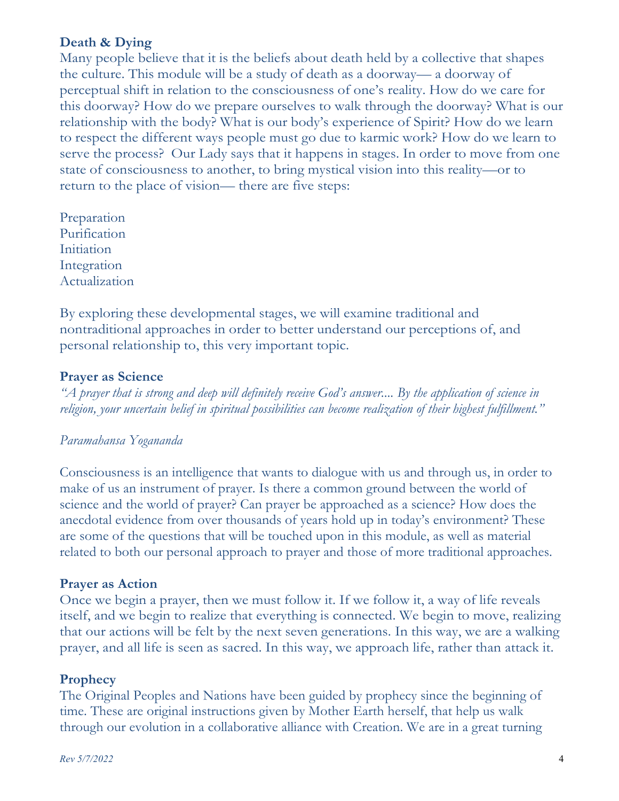## **Death & Dying**

Many people believe that it is the beliefs about death held by a collective that shapes the culture. This module will be a study of death as a doorway— a doorway of perceptual shift in relation to the consciousness of one's reality. How do we care for this doorway? How do we prepare ourselves to walk through the doorway? What is our relationship with the body? What is our body's experience of Spirit? How do we learn to respect the different ways people must go due to karmic work? How do we learn to serve the process? Our Lady says that it happens in stages. In order to move from one state of consciousness to another, to bring mystical vision into this reality—or to return to the place of vision— there are five steps:

Preparation Purification Initiation Integration Actualization

By exploring these developmental stages, we will examine traditional and nontraditional approaches in order to better understand our perceptions of, and personal relationship to, this very important topic.

### **Prayer as Science**

*"A prayer that is strong and deep will definitely receive God's answer.... By the application of science in religion, your uncertain belief in spiritual possibilities can become realization of their highest fulfillment."*

#### *Paramahansa Yogananda*

Consciousness is an intelligence that wants to dialogue with us and through us, in order to make of us an instrument of prayer. Is there a common ground between the world of science and the world of prayer? Can prayer be approached as a science? How does the anecdotal evidence from over thousands of years hold up in today's environment? These are some of the questions that will be touched upon in this module, as well as material related to both our personal approach to prayer and those of more traditional approaches.

#### **Prayer as Action**

Once we begin a prayer, then we must follow it. If we follow it, a way of life reveals itself, and we begin to realize that everything is connected. We begin to move, realizing that our actions will be felt by the next seven generations. In this way, we are a walking prayer, and all life is seen as sacred. In this way, we approach life, rather than attack it.

#### **Prophecy**

The Original Peoples and Nations have been guided by prophecy since the beginning of time. These are original instructions given by Mother Earth herself, that help us walk through our evolution in a collaborative alliance with Creation. We are in a great turning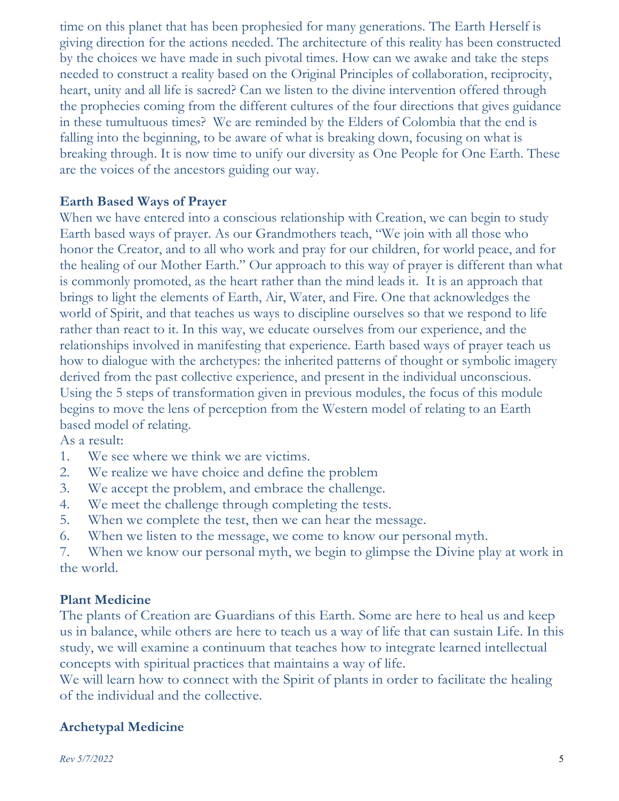time on this planet that has been prophesied for many generations. The Earth Herself is giving direction for the actions needed. The architecture of this reality has been constructed by the choices we have made in such pivotal times. How can we awake and take the steps needed to construct a reality based on the Original Principles of collaboration, reciprocity, heart, unity and all life is sacred? Can we listen to the divine intervention offered through the prophecies coming from the different cultures of the four directions that gives guidance in these tumultuous times? We are reminded by the Elders of Colombia that the end is falling into the beginning, to be aware of what is breaking down, focusing on what is breaking through. It is now time to unify our diversity as One People for One Earth. These are the voices of the ancestors guiding our way.

## **Earth Based Ways of Prayer**

When we have entered into a conscious relationship with Creation, we can begin to study Earth based ways of prayer. As our Grandmothers teach, "We join with all those who honor the Creator, and to all who work and pray for our children, for world peace, and for the healing of our Mother Earth." Our approach to this way of prayer is different than what is commonly promoted, as the heart rather than the mind leads it. It is an approach that brings to light the elements of Earth, Air, Water, and Fire. One that acknowledges the world of Spirit, and that teaches us ways to discipline ourselves so that we respond to life rather than react to it. In this way, we educate ourselves from our experience, and the relationships involved in manifesting that experience. Earth based ways of prayer teach us how to dialogue with the archetypes: the inherited patterns of thought or symbolic imagery derived from the past collective experience, and present in the individual unconscious. Using the 5 steps of transformation given in previous modules, the focus of this module begins to move the lens of perception from the Western model of relating to an Earth based model of relating.

As a result:

- 1. We see where we think we are victims.
- 2. We realize we have choice and define the problem
- 3. We accept the problem, and embrace the challenge.
- 4. We meet the challenge through completing the tests.
- 5. When we complete the test, then we can hear the message.
- 6. When we listen to the message, we come to know our personal myth.

7. When we know our personal myth, we begin to glimpse the Divine play at work in the world.

## **Plant Medicine**

The plants of Creation are Guardians of this Earth. Some are here to heal us and keep us in balance, while others are here to teach us a way of life that can sustain Life. In this study, we will examine a continuum that teaches how to integrate learned intellectual concepts with spiritual practices that maintains a way of life.

We will learn how to connect with the Spirit of plants in order to facilitate the healing of the individual and the collective.

## **Archetypal Medicine**

*Rev 5/7/2022* 5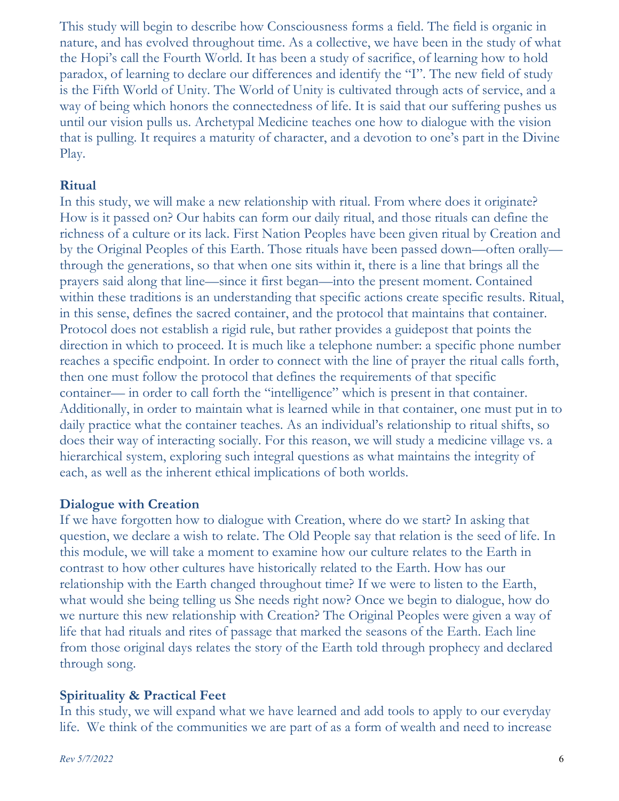This study will begin to describe how Consciousness forms a field. The field is organic in nature, and has evolved throughout time. As a collective, we have been in the study of what the Hopi's call the Fourth World. It has been a study of sacrifice, of learning how to hold paradox, of learning to declare our differences and identify the "I". The new field of study is the Fifth World of Unity. The World of Unity is cultivated through acts of service, and a way of being which honors the connectedness of life. It is said that our suffering pushes us until our vision pulls us. Archetypal Medicine teaches one how to dialogue with the vision that is pulling. It requires a maturity of character, and a devotion to one's part in the Divine Play.

## **Ritual**

In this study, we will make a new relationship with ritual. From where does it originate? How is it passed on? Our habits can form our daily ritual, and those rituals can define the richness of a culture or its lack. First Nation Peoples have been given ritual by Creation and by the Original Peoples of this Earth. Those rituals have been passed down—often orally through the generations, so that when one sits within it, there is a line that brings all the prayers said along that line—since it first began—into the present moment. Contained within these traditions is an understanding that specific actions create specific results. Ritual, in this sense, defines the sacred container, and the protocol that maintains that container. Protocol does not establish a rigid rule, but rather provides a guidepost that points the direction in which to proceed. It is much like a telephone number: a specific phone number reaches a specific endpoint. In order to connect with the line of prayer the ritual calls forth, then one must follow the protocol that defines the requirements of that specific container— in order to call forth the "intelligence" which is present in that container. Additionally, in order to maintain what is learned while in that container, one must put in to daily practice what the container teaches. As an individual's relationship to ritual shifts, so does their way of interacting socially. For this reason, we will study a medicine village vs. a hierarchical system, exploring such integral questions as what maintains the integrity of each, as well as the inherent ethical implications of both worlds.

## **Dialogue with Creation**

If we have forgotten how to dialogue with Creation, where do we start? In asking that question, we declare a wish to relate. The Old People say that relation is the seed of life. In this module, we will take a moment to examine how our culture relates to the Earth in contrast to how other cultures have historically related to the Earth. How has our relationship with the Earth changed throughout time? If we were to listen to the Earth, what would she being telling us She needs right now? Once we begin to dialogue, how do we nurture this new relationship with Creation? The Original Peoples were given a way of life that had rituals and rites of passage that marked the seasons of the Earth. Each line from those original days relates the story of the Earth told through prophecy and declared through song.

## **Spirituality & Practical Feet**

In this study, we will expand what we have learned and add tools to apply to our everyday life. We think of the communities we are part of as a form of wealth and need to increase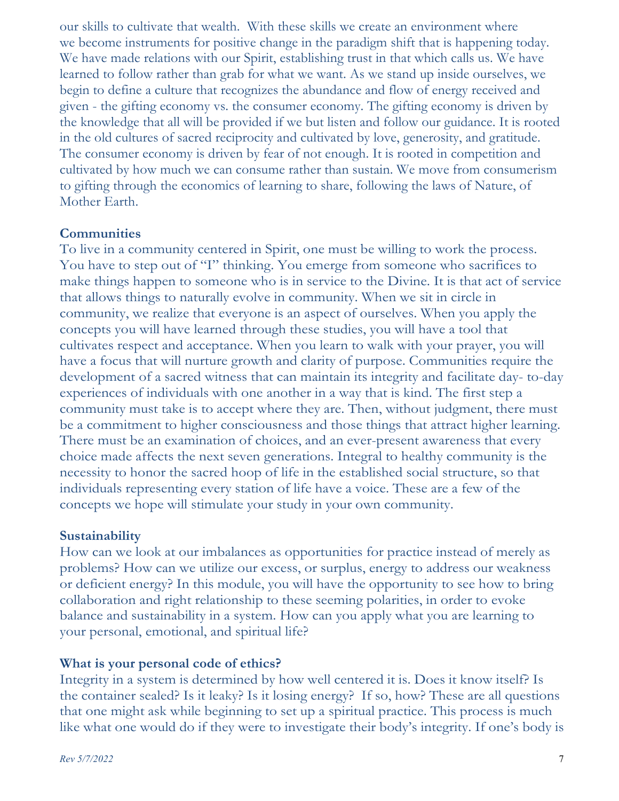our skills to cultivate that wealth. With these skills we create an environment where we become instruments for positive change in the paradigm shift that is happening today. We have made relations with our Spirit, establishing trust in that which calls us. We have learned to follow rather than grab for what we want. As we stand up inside ourselves, we begin to define a culture that recognizes the abundance and flow of energy received and given - the gifting economy vs. the consumer economy. The gifting economy is driven by the knowledge that all will be provided if we but listen and follow our guidance. It is rooted in the old cultures of sacred reciprocity and cultivated by love, generosity, and gratitude. The consumer economy is driven by fear of not enough. It is rooted in competition and cultivated by how much we can consume rather than sustain. We move from consumerism to gifting through the economics of learning to share, following the laws of Nature, of Mother Earth.

## **Communities**

To live in a community centered in Spirit, one must be willing to work the process. You have to step out of "I" thinking. You emerge from someone who sacrifices to make things happen to someone who is in service to the Divine. It is that act of service that allows things to naturally evolve in community. When we sit in circle in community, we realize that everyone is an aspect of ourselves. When you apply the concepts you will have learned through these studies, you will have a tool that cultivates respect and acceptance. When you learn to walk with your prayer, you will have a focus that will nurture growth and clarity of purpose. Communities require the development of a sacred witness that can maintain its integrity and facilitate day- to-day experiences of individuals with one another in a way that is kind. The first step a community must take is to accept where they are. Then, without judgment, there must be a commitment to higher consciousness and those things that attract higher learning. There must be an examination of choices, and an ever-present awareness that every choice made affects the next seven generations. Integral to healthy community is the necessity to honor the sacred hoop of life in the established social structure, so that individuals representing every station of life have a voice. These are a few of the concepts we hope will stimulate your study in your own community.

## **Sustainability**

How can we look at our imbalances as opportunities for practice instead of merely as problems? How can we utilize our excess, or surplus, energy to address our weakness or deficient energy? In this module, you will have the opportunity to see how to bring collaboration and right relationship to these seeming polarities, in order to evoke balance and sustainability in a system. How can you apply what you are learning to your personal, emotional, and spiritual life?

## **What is your personal code of ethics?**

Integrity in a system is determined by how well centered it is. Does it know itself? Is the container sealed? Is it leaky? Is it losing energy? If so, how? These are all questions that one might ask while beginning to set up a spiritual practice. This process is much like what one would do if they were to investigate their body's integrity. If one's body is